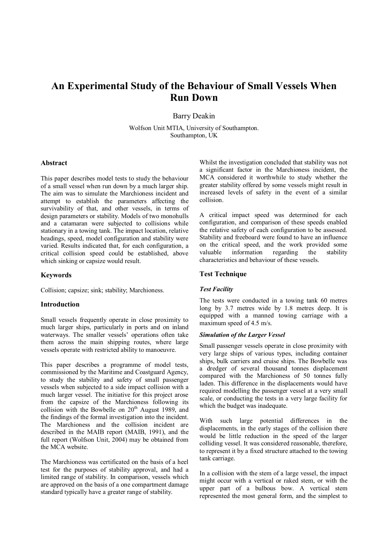# **An Experimental Study of the Behaviour of Small Vessels When Run Down**

Barry Deakin

Wolfson Unit MTIA, University of Southampton. Southampton, UK

# **Abstract**

This paper describes model tests to study the behaviour of a small vessel when run down by a much larger ship. The aim was to simulate the Marchioness incident and attempt to establish the parameters affecting the survivability of that, and other vessels, in terms of design parameters or stability. Models of two monohulls and a catamaran were subjected to collisions while stationary in a towing tank. The impact location, relative headings, speed, model configuration and stability were varied. Results indicated that, for each configuration, a critical collision speed could be established, above which sinking or capsize would result.

#### **Keywords**

Collision; capsize; sink; stability; Marchioness.

#### **Introduction**

Small vessels frequently operate in close proximity to much larger ships, particularly in ports and on inland waterways. The smaller vessels' operations often take them across the main shipping routes, where large vessels operate with restricted ability to manoeuvre.

This paper describes a programme of model tests, commissioned by the Maritime and Coastguard Agency, to study the stability and safety of small passenger vessels when subjected to a side impact collision with a much larger vessel. The initiative for this project arose from the capsize of the Marchioness following its collision with the Bowbelle on  $20^{th}$  August 1989, and the findings of the formal investigation into the incident. The Marchioness and the collision incident are described in the MAIB report (MAIB, 1991), and the full report (Wolfson Unit, 2004) may be obtained from the MCA website.

The Marchioness was certificated on the basis of a heel test for the purposes of stability approval, and had a limited range of stability. In comparison, vessels which are approved on the basis of a one compartment damage standard typically have a greater range of stability.

Whilst the investigation concluded that stability was not a significant factor in the Marchioness incident, the MCA considered it worthwhile to study whether the greater stability offered by some vessels might result in increased levels of safety in the event of a similar collision.

A critical impact speed was determined for each configuration, and comparison of these speeds enabled the relative safety of each configuration to be assessed. Stability and freeboard were found to have an influence on the critical speed, and the work provided some valuable information regarding the stability characteristics and behaviour of these vessels.

### **Test Technique**

#### *Test Facility*

The tests were conducted in a towing tank 60 metres long by 3.7 metres wide by 1.8 metres deep. It is equipped with a manned towing carriage with a maximum speed of 4.5 m/s.

# *Simulation of the Larger Vessel*

Small passenger vessels operate in close proximity with very large ships of various types, including container ships, bulk carriers and cruise ships. The Bowbelle was a dredger of several thousand tonnes displacement compared with the Marchioness of 50 tonnes fully laden. This difference in the displacements would have required modelling the passenger vessel at a very small scale, or conducting the tests in a very large facility for which the budget was inadequate.

With such large potential differences in the displacements, in the early stages of the collision there would be little reduction in the speed of the larger colliding vessel. It was considered reasonable, therefore, to represent it by a fixed structure attached to the towing tank carriage.

In a collision with the stem of a large vessel, the impact might occur with a vertical or raked stem, or with the upper part of a bulbous bow. A vertical stem represented the most general form, and the simplest to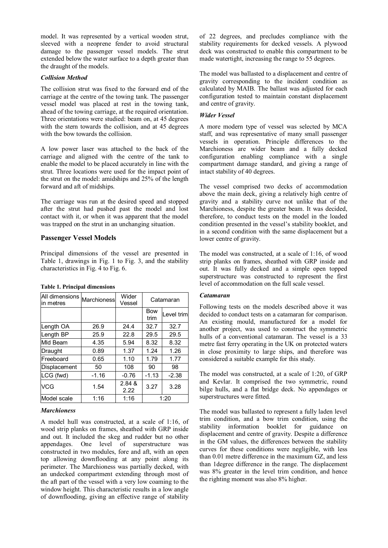model. It was represented by a vertical wooden strut, sleeved with a neoprene fender to avoid structural damage to the passenger vessel models. The strut extended below the water surface to a depth greater than the draught of the models.

# *Collision Method*

The collision strut was fixed to the forward end of the carriage at the centre of the towing tank. The passenger vessel model was placed at rest in the towing tank, ahead of the towing carriage, at the required orientation. Three orientations were studied: beam on, at 45 degrees with the stern towards the collision, and at 45 degrees with the bow towards the collision.

A low power laser was attached to the back of the carriage and aligned with the centre of the tank to enable the model to be placed accurately in line with the strut. Three locations were used for the impact point of the strut on the model: amidships and 25% of the length forward and aft of midships.

The carriage was run at the desired speed and stopped after the strut had pushed past the model and lost contact with it, or when it was apparent that the model was trapped on the strut in an unchanging situation.

# **Passenger Vessel Models**

Principal dimensions of the vessel are presented in Table 1, drawings in Fig. 1 to Fig. 3, and the stability characteristics in Fig. 4 to Fig. 6.

| All dimensions<br>in metres | Marchioness | Wider<br>Vessel | Catamaran          |            |  |
|-----------------------------|-------------|-----------------|--------------------|------------|--|
|                             |             |                 | <b>Bow</b><br>trim | Level trim |  |
| Length OA                   | 26.9        | 24.4            | 32.7               | 32.7       |  |
| Length BP                   | 25.9        | 22.8            | 29.5               | 29.5       |  |
| MId Beam                    | 4.35        | 5.94            | 8.32               | 8.32       |  |
| Draught                     | 0.89        | 1.37            | 1.24               | 1.26       |  |
| Freeboard                   | 0.65        | 1.10            | 1.79               | 1.77       |  |
| Displacement                | 50          | 108             | 90                 | 98         |  |
| LCG (fwd)                   | $-1.16$     | $-0.76$         | $-1.13$            | $-2.38$    |  |
| VCG                         | 1.54        | 2.84 &<br>2.22  | 3.27               | 3.28       |  |
| Model scale                 | 1:16        | 1:16            | 1:20               |            |  |

# **Table 1. Principal dimensions**

# *Marchioness*

A model hull was constructed, at a scale of 1:16, of wood strip planks on frames, sheathed with GRP inside and out. It included the skeg and rudder but no other appendages. One level of superstructure was constructed in two modules, fore and aft, with an open top allowing downflooding at any point along its perimeter. The Marchioness was partially decked, with an undecked compartment extending through most of the aft part of the vessel with a very low coaming to the window height. This characteristic results in a low angle of downflooding, giving an effective range of stability

of 22 degrees, and precludes compliance with the stability requirements for decked vessels. A plywood deck was constructed to enable this compartment to be made watertight, increasing the range to 55 degrees.

The model was ballasted to a displacement and centre of gravity corresponding to the incident condition as calculated by MAIB. The ballast was adjusted for each configuration tested to maintain constant displacement and centre of gravity.

# *Wider Vessel*

A more modern type of vessel was selected by MCA staff, and was representative of many small passenger vessels in operation. Principle differences to the Marchioness are wider beam and a fully decked configuration enabling compliance with a single compartment damage standard, and giving a range of intact stability of 40 degrees.

The vessel comprised two decks of accommodation above the main deck, giving a relatively high centre of gravity and a stability curve not unlike that of the Marchioness, despite the greater beam. It was decided, therefore, to conduct tests on the model in the loaded condition presented in the vessel's stability booklet, and in a second condition with the same displacement but a lower centre of gravity.

The model was constructed, at a scale of 1:16, of wood strip planks on frames, sheathed with GRP inside and out. It was fully decked and a simple open topped superstructure was constructed to represent the first level of accommodation on the full scale vessel.

# *Catamaran*

Following tests on the models described above it was decided to conduct tests on a catamaran for comparison. An existing mould, manufactured for a model for another project, was used to construct the symmetric hulls of a conventional catamaran. The vessel is a 33 metre fast ferry operating in the UK on protected waters in close proximity to large ships, and therefore was considered a suitable example for this study.

The model was constructed, at a scale of 1:20, of GRP and Kevlar. It comprised the two symmetric, round bilge hulls, and a flat bridge deck. No appendages or superstructures were fitted.

The model was ballasted to represent a fully laden level trim condition, and a bow trim condition, using the stability information booklet for guidance on displacement and centre of gravity. Despite a difference in the GM values, the differences between the stability curves for these conditions were negligible, with less than 0.01 metre difference in the maximum GZ, and less than 1degree difference in the range. The displacement was 8% greater in the level trim condition, and hence the righting moment was also 8% higher.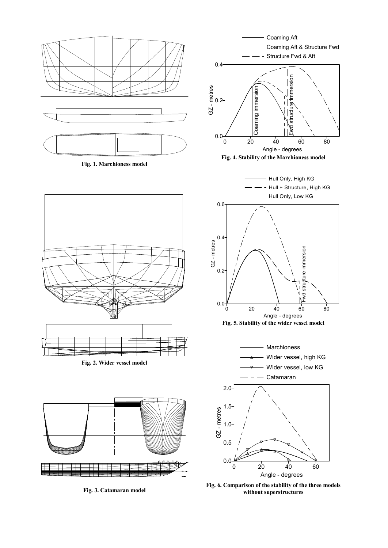





**Fig. 3. Catamaran model** 



Coaming Aft

**Fig. 6. Comparison of the stability of the three models without superstructures**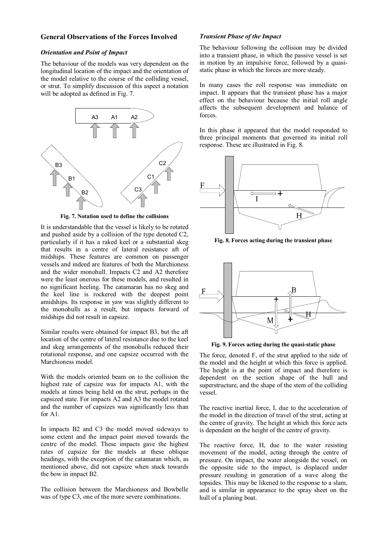### **General Observations of the Forces Involved**

# *Orientation and Point of Impact*

The behaviour of the models was very dependent on the longitudinal location of the impact and the orientation of the model relative to the course of the colliding vessel, or strut. To simplify discussion of this aspect a notation will be adopted as defined in Fig. 7.



**Fig. 7. Notation used to define the collisions** 

It is understandable that the vessel is likely to be rotated and pushed aside by a collision of the type denoted C2, particularly if it has a raked keel or a substantial skeg that results in a centre of lateral resistance aft of midships. These features are common on passenger vessels and indeed are features of both the Marchioness and the wider monohull. Impacts C2 and A2 therefore were the least onerous for these models, and resulted in no significant heeling. The catamaran has no skeg and the keel line is rockered with the deepest point amidships. Its response in yaw was slightly different to the monohulls as a result, but impacts forward of midships did not result in capsize.

Similar results were obtained for impact B3, but the aft location of the centre of lateral resistance due to the keel and skeg arrangements of the monohulls reduced their rotational response, and one capsize occurred with the Marchioness model.

With the models oriented beam on to the collision the highest rate of capsize was for impacts A1, with the models at times being held on the strut, perhaps in the capsized state. For impacts A2 and A3 the model rotated and the number of capsizes was significantly less than for A1.

In impacts B2 and C3 the model moved sideways to some extent and the impact point moved towards the centre of the model. These impacts gave the highest rates of capsize for the models at these oblique headings, with the exception of the catamaran which, as mentioned above, did not capsize when stuck towards the bow in impact B2.

The collision between the Marchioness and Bowbelle was of type C3, one of the more severe combinations.

### *Transient Phase of the Impact*

The behaviour following the collision may be divided into a transient phase, in which the passive vessel is set in motion by an impulsive force, followed by a quasistatic phase in which the forces are more steady.

In many cases the roll response was immediate on impact. It appears that the transient phase has a major effect on the behaviour because the initial roll angle affects the subsequent development and balance of forces.

In this phase it appeared that the model responded to three principal moments that governed its initial roll response. These are illustrated in Fig. 8.



**Fig. 8. Forces acting during the transient phase** 



**Fig. 9. Forces acting during the quasi-static phase** 

The force, denoted F, of the strut applied to the side of the model and the height at which this force is applied. The height is at the point of impact and therefore is dependent on the section shape of the hull and superstructure, and the shape of the stem of the colliding vessel.

The reactive inertial force, I, due to the acceleration of the model in the direction of travel of the strut, acting at the centre of gravity. The height at which this force acts is dependent on the height of the centre of gravity.

The reactive force, H, due to the water resisting movement of the model, acting through the centre of pressure. On impact, the water alongside the vessel, on the opposite side to the impact, is displaced under pressure resulting in generation of a wave along the topsides. This may be likened to the response to a slam, and is similar in appearance to the spray sheet on the hull of a planing boat.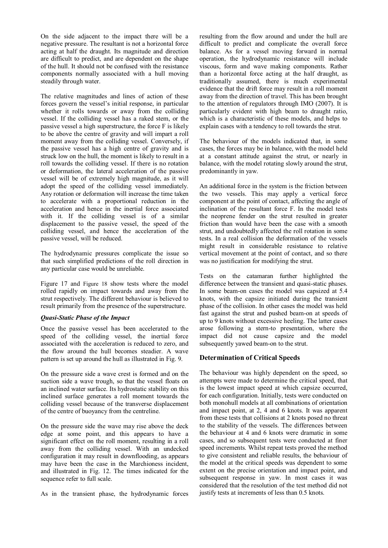On the side adjacent to the impact there will be a negative pressure. The resultant is not a horizontal force acting at half the draught. Its magnitude and direction are difficult to predict, and are dependent on the shape of the hull. It should not be confused with the resistance components normally associated with a hull moving steadily through water.

The relative magnitudes and lines of action of these forces govern the vessel's initial response, in particular whether it rolls towards or away from the colliding vessel. If the colliding vessel has a raked stem, or the passive vessel a high superstructure, the force F is likely to be above the centre of gravity and will impart a roll moment away from the colliding vessel. Conversely, if the passive vessel has a high centre of gravity and is struck low on the hull, the moment is likely to result in a roll towards the colliding vessel. If there is no rotation or deformation, the lateral acceleration of the passive vessel will be of extremely high magnitude, as it will adopt the speed of the colliding vessel immediately. Any rotation or deformation will increase the time taken to accelerate with a proportional reduction in the acceleration and hence in the inertial force associated with it. If the colliding vessel is of a similar displacement to the passive vessel, the speed of the colliding vessel, and hence the acceleration of the passive vessel, will be reduced.

The hydrodynamic pressures complicate the issue so that such simplified predictions of the roll direction in any particular case would be unreliable.

Figure 17 and Figure 18 show tests where the model rolled rapidly on impact towards and away from the strut respectively. The different behaviour is believed to result primarily from the presence of the superstructure.

# *Quasi-Static Phase of the Impact*

Once the passive vessel has been accelerated to the speed of the colliding vessel, the inertial force associated with the acceleration is reduced to zero, and the flow around the hull becomes steadier. A wave pattern is set up around the hull as illustrated in Fig. 9.

On the pressure side a wave crest is formed and on the suction side a wave trough, so that the vessel floats on an inclined water surface. Its hydrostatic stability on this inclined surface generates a roll moment towards the colliding vessel because of the transverse displacement of the centre of buoyancy from the centreline.

On the pressure side the wave may rise above the deck edge at some point, and this appears to have a significant effect on the roll moment, resulting in a roll away from the colliding vessel. With an undecked configuration it may result in downflooding, as appears may have been the case in the Marchioness incident, and illustrated in Fig. 12. The times indicated for the sequence refer to full scale.

As in the transient phase, the hydrodynamic forces

resulting from the flow around and under the hull are difficult to predict and complicate the overall force balance. As for a vessel moving forward in normal operation, the hydrodynamic resistance will include viscous, form and wave making components. Rather than a horizontal force acting at the half draught, as traditionally assumed, there is much experimental evidence that the drift force may result in a roll moment away from the direction of travel. This has been brought to the attention of regulators through IMO (2007). It is particularly evident with high beam to draught ratio, which is a characteristic of these models, and helps to explain cases with a tendency to roll towards the strut.

The behaviour of the models indicated that, in some cases, the forces may be in balance, with the model held at a constant attitude against the strut, or nearly in balance, with the model rotating slowly around the strut, predominantly in yaw.

An additional force in the system is the friction between the two vessels. This may apply a vertical force component at the point of contact, affecting the angle of inclination of the resultant force F. In the model tests the neoprene fender on the strut resulted in greater friction than would have been the case with a smooth strut, and undoubtedly affected the roll rotation in some tests. In a real collision the deformation of the vessels might result in considerable resistance to relative vertical movement at the point of contact, and so there was no justification for modifying the strut.

Tests on the catamaran further highlighted the difference between the transient and quasi-static phases. In some beam-on cases the model was capsized at 5.4 knots, with the capsize initiated during the transient phase of the collision. In other cases the model was held fast against the strut and pushed beam-on at speeds of up to 9 knots without excessive heeling. The latter cases arose following a stern-to presentation, where the impact did not cause capsize and the model subsequently yawed beam-on to the strut.

# **Determination of Critical Speeds**

The behaviour was highly dependent on the speed, so attempts were made to determine the critical speed, that is the lowest impact speed at which capsize occurred, for each configuration. Initially, tests were conducted on both monohull models at all combinations of orientation and impact point, at 2, 4 and 6 knots. It was apparent from these tests that collisions at 2 knots posed no threat to the stability of the vessels. The differences between the behaviour at 4 and 6 knots were dramatic in some cases, and so subsequent tests were conducted at finer speed increments. Whilst repeat tests proved the method to give consistent and reliable results, the behaviour of the model at the critical speeds was dependent to some extent on the precise orientation and impact point, and subsequent response in yaw. In most cases it was considered that the resolution of the test method did not justify tests at increments of less than 0.5 knots.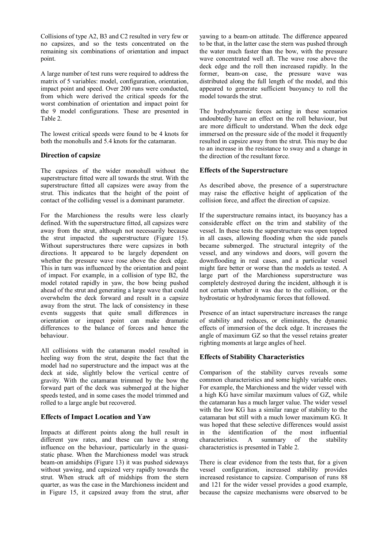Collisions of type A2, B3 and C2 resulted in very few or no capsizes, and so the tests concentrated on the remaining six combinations of orientation and impact point.

A large number of test runs were required to address the matrix of 5 variables: model, configuration, orientation, impact point and speed. Over 200 runs were conducted, from which were derived the critical speeds for the worst combination of orientation and impact point for the 9 model configurations. These are presented in Table 2.

The lowest critical speeds were found to be 4 knots for both the monohulls and 5.4 knots for the catamaran.

# **Direction of capsize**

The capsizes of the wider monohull without the superstructure fitted were all towards the strut. With the superstructure fitted all capsizes were away from the strut. This indicates that the height of the point of contact of the colliding vessel is a dominant parameter.

For the Marchioness the results were less clearly defined. With the superstructure fitted, all capsizes were away from the strut, although not necessarily because the strut impacted the superstructure (Figure 15). Without superstructures there were capsizes in both directions. It appeared to be largely dependent on whether the pressure wave rose above the deck edge. This in turn was influenced by the orientation and point of impact. For example, in a collision of type B2, the model rotated rapidly in yaw, the bow being pushed ahead of the strut and generating a large wave that could overwhelm the deck forward and result in a capsize away from the strut. The lack of consistency in these events suggests that quite small differences in orientation or impact point can make dramatic differences to the balance of forces and hence the behaviour.

All collisions with the catamaran model resulted in heeling way from the strut, despite the fact that the model had no superstructure and the impact was at the deck at side, slightly below the vertical centre of gravity. With the catamaran trimmed by the bow the forward part of the deck was submerged at the higher speeds tested, and in some cases the model trimmed and rolled to a large angle but recovered.

# **Effects of Impact Location and Yaw**

Impacts at different points along the hull result in different yaw rates, and these can have a strong influence on the behaviour, particularly in the quasistatic phase. When the Marchioness model was struck beam-on amidships (Figure 13) it was pushed sideways without yawing, and capsized very rapidly towards the strut. When struck aft of midships from the stern quarter, as was the case in the Marchioness incident and in Figure 15, it capsized away from the strut, after yawing to a beam-on attitude. The difference appeared to be that, in the latter case the stern was pushed through the water much faster than the bow, with the pressure wave concentrated well aft. The wave rose above the deck edge and the roll then increased rapidly. In the former, beam-on case, the pressure wave was distributed along the full length of the model, and this appeared to generate sufficient buoyancy to roll the model towards the strut.

The hydrodynamic forces acting in these scenarios undoubtedly have an effect on the roll behaviour, but are more difficult to understand. When the deck edge immersed on the pressure side of the model it frequently resulted in capsize away from the strut. This may be due to an increase in the resistance to sway and a change in the direction of the resultant force.

# **Effects of the Superstructure**

As described above, the presence of a superstructure may raise the effective height of application of the collision force, and affect the direction of capsize.

If the superstructure remains intact, its buoyancy has a considerable effect on the trim and stability of the vessel. In these tests the superstructure was open topped in all cases, allowing flooding when the side panels became submerged. The structural integrity of the vessel, and any windows and doors, will govern the downflooding in real cases, and a particular vessel might fare better or worse than the models as tested. A large part of the Marchioness superstructure was completely destroyed during the incident, although it is not certain whether it was due to the collision, or the hydrostatic or hydrodynamic forces that followed.

Presence of an intact superstructure increases the range of stability and reduces, or eliminates, the dynamic effects of immersion of the deck edge. It increases the angle of maximum GZ so that the vessel retains greater righting moments at large angles of heel.

# **Effects of Stability Characteristics**

Comparison of the stability curves reveals some common characteristics and some highly variable ones. For example, the Marchioness and the wider vessel with a high KG have similar maximum values of GZ, while the catamaran has a much larger value. The wider vessel with the low KG has a similar range of stability to the catamaran but still with a much lower maximum KG. It was hoped that these selective differences would assist in the identification of the most influential characteristics. A summary of the stability characteristics is presented in Table 2.

There is clear evidence from the tests that, for a given vessel configuration, increased stability provides increased resistance to capsize. Comparison of runs 88 and 121 for the wider vessel provides a good example, because the capsize mechanisms were observed to be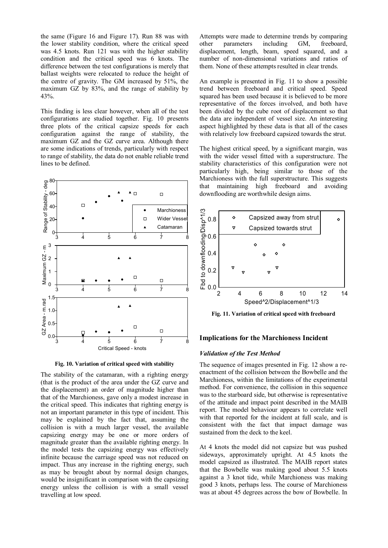the same (Figure 16 and Figure 17). Run 88 was with the lower stability condition, where the critical speed was 4.5 knots. Run 121 was with the higher stability condition and the critical speed was 6 knots. The difference between the test configurations is merely that ballast weights were relocated to reduce the height of the centre of gravity. The GM increased by 51%, the maximum GZ by 83%, and the range of stability by 43%.

This finding is less clear however, when all of the test configurations are studied together. Fig. 10 presents three plots of the critical capsize speeds for each configuration against the range of stability, the maximum GZ and the GZ curve area. Although there are some indications of trends, particularly with respect to range of stability, the data do not enable reliable trend lines to be defined.



**Fig. 10. Variation of critical speed with stability** 

The stability of the catamaran, with a righting energy (that is the product of the area under the GZ curve and the displacement) an order of magnitude higher than that of the Marchioness, gave only a modest increase in the critical speed. This indicates that righting energy is not an important parameter in this type of incident. This may be explained by the fact that, assuming the collision is with a much larger vessel, the available capsizing energy may be one or more orders of magnitude greater than the available righting energy. In the model tests the capsizing energy was effectively infinite because the carriage speed was not reduced on impact. Thus any increase in the righting energy, such as may be brought about by normal design changes, would be insignificant in comparison with the capsizing energy unless the collision is with a small vessel travelling at low speed.

Attempts were made to determine trends by comparing other parameters including GM, freeboard, displacement, length, beam, speed squared, and a number of non-dimensional variations and ratios of them. None of these attempts resulted in clear trends.

An example is presented in Fig. 11 to show a possible trend between freeboard and critical speed. Speed squared has been used because it is believed to be more representative of the forces involved, and both have been divided by the cube root of displacement so that the data are independent of vessel size. An interesting aspect highlighted by these data is that all of the cases with relatively low freeboard capsized towards the strut.

The highest critical speed, by a significant margin, was with the wider vessel fitted with a superstructure. The stability characteristics of this configuration were not particularly high, being similar to those of the Marchioness with the full superstructure. This suggests that maintaining high freeboard and avoiding downflooding are worthwhile design aims.



**Fig. 11. Variation of critical speed with freeboard** 

# **Implications for the Marchioness Incident**

# *Validation of the Test Method*

The sequence of images presented in Fig. 12 show a reenactment of the collision between the Bowbelle and the Marchioness, within the limitations of the experimental method. For convenience, the collision in this sequence was to the starboard side, but otherwise is representative of the attitude and impact point described in the MAIB report. The model behaviour appears to correlate well with that reported for the incident at full scale, and is consistent with the fact that impact damage was sustained from the deck to the keel.

At 4 knots the model did not capsize but was pushed sideways, approximately upright. At 4.5 knots the model capsized as illustrated. The MAIB report states that the Bowbelle was making good about 5.5 knots against a 3 knot tide, while Marchioness was making good 3 knots, perhaps less. The course of Marchioness was at about 45 degrees across the bow of Bowbelle. In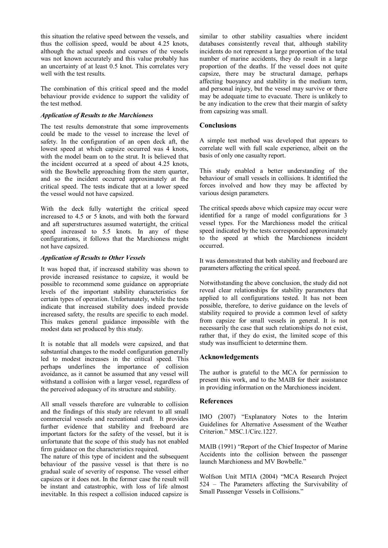this situation the relative speed between the vessels, and thus the collision speed, would be about 4.25 knots, although the actual speeds and courses of the vessels was not known accurately and this value probably has an uncertainty of at least 0.5 knot. This correlates very well with the test results.

The combination of this critical speed and the model behaviour provide evidence to support the validity of the test method.

# *Application of Results to the Marchioness*

The test results demonstrate that some improvements could be made to the vessel to increase the level of safety. In the configuration of an open deck aft, the lowest speed at which capsize occurred was 4 knots, with the model beam on to the strut. It is believed that the incident occurred at a speed of about 4.25 knots, with the Bowbelle approaching from the stern quarter, and so the incident occurred approximately at the critical speed. The tests indicate that at a lower speed the vessel would not have capsized.

With the deck fully watertight the critical speed increased to 4.5 or 5 knots, and with both the forward and aft superstructures assumed watertight, the critical speed increased to 5.5 knots. In any of these configurations, it follows that the Marchioness might not have capsized.

# *Application of Results to Other Vessels*

It was hoped that, if increased stability was shown to provide increased resistance to capsize, it would be possible to recommend some guidance on appropriate levels of the important stability characteristics for certain types of operation. Unfortunately, while the tests indicate that increased stability does indeed provide increased safety, the results are specific to each model. This makes general guidance impossible with the modest data set produced by this study.

It is notable that all models were capsized, and that substantial changes to the model configuration generally led to modest increases in the critical speed. This perhaps underlines the importance of collision avoidance, as it cannot be assumed that any vessel will withstand a collision with a larger vessel, regardless of the perceived adequacy of its structure and stability.

All small vessels therefore are vulnerable to collision and the findings of this study are relevant to all small commercial vessels and recreational craft. It provides further evidence that stability and freeboard are important factors for the safety of the vessel, but it is unfortunate that the scope of this study has not enabled firm guidance on the characteristics required.

The nature of this type of incident and the subsequent behaviour of the passive vessel is that there is no gradual scale of severity of response. The vessel either capsizes or it does not. In the former case the result will be instant and catastrophic, with loss of life almost inevitable. In this respect a collision induced capsize is similar to other stability casualties where incident databases consistently reveal that, although stability incidents do not represent a large proportion of the total number of marine accidents, they do result in a large proportion of the deaths. If the vessel does not quite capsize, there may be structural damage, perhaps affecting buoyancy and stability in the medium term, and personal injury, but the vessel may survive or there may be adequate time to evacuate. There is unlikely to be any indication to the crew that their margin of safety from capsizing was small.

# **Conclusions**

A simple test method was developed that appears to correlate well with full scale experience, albeit on the basis of only one casualty report.

This study enabled a better understanding of the behaviour of small vessels in collisions. It identified the forces involved and how they may be affected by various design parameters.

The critical speeds above which capsize may occur were identified for a range of model configurations for 3 vessel types. For the Marchioness model the critical speed indicated by the tests corresponded approximately to the speed at which the Marchioness incident occurred.

It was demonstrated that both stability and freeboard are parameters affecting the critical speed.

Notwithstanding the above conclusion, the study did not reveal clear relationships for stability parameters that applied to all configurations tested. It has not been possible, therefore, to derive guidance on the levels of stability required to provide a common level of safety from capsize for small vessels in general. It is not necessarily the case that such relationships do not exist, rather that, if they do exist, the limited scope of this study was insufficient to determine them.

# **Acknowledgements**

The author is grateful to the MCA for permission to present this work, and to the MAIB for their assistance in providing information on the Marchioness incident.

#### **References**

IMO (2007) "Explanatory Notes to the Interim Guidelines for Alternative Assessment of the Weather Criterion." MSC.1/Circ.1227.

MAIB (1991) "Report of the Chief Inspector of Marine Accidents into the collision between the passenger launch Marchioness and MV Bowbelle."

Wolfson Unit MTIA (2004) "MCA Research Project 524 – The Parameters affecting the Survivability of Small Passenger Vessels in Collisions."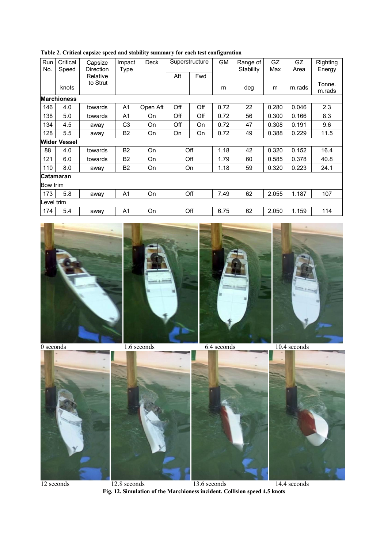| Run<br>Critical<br>No.<br>Speed |              | Capsize<br>Direction | Impact<br>Type | Deck     | Superstructure |     | <b>GM</b> | Range of<br>Stability | GZ<br>Max | GZ<br>Area | Righting<br>Energy |  |
|---------------------------------|--------------|----------------------|----------------|----------|----------------|-----|-----------|-----------------------|-----------|------------|--------------------|--|
|                                 |              | Relative             |                |          | Aft            | Fwd |           |                       |           |            |                    |  |
|                                 | knots        | to Strut             |                |          |                |     | m         | deg                   | m         | m.rads     | Tonne.<br>m.rads   |  |
| <b>Marchioness</b>              |              |                      |                |          |                |     |           |                       |           |            |                    |  |
| 146                             | 4.0          | towards              | A <sub>1</sub> | Open Aft | Off            | Off | 0.72      | 22                    | 0.280     | 0.046      | 2.3                |  |
| 138                             | 5.0          | towards              | A <sub>1</sub> | On       | Off            | Off | 0.72      | 56                    | 0.300     | 0.166      | 8.3                |  |
| 134                             | 4.5          | away                 | C <sub>3</sub> | On       | Off            | On  | 0.72      | 47                    | 0.308     | 0.191      | 9.6                |  |
| 128                             | 5.5          | away                 | <b>B2</b>      | On       | On             | On  | 0.72      | 49                    | 0.388     | 0.229      | 11.5               |  |
|                                 | Wider Vessel |                      |                |          |                |     |           |                       |           |            |                    |  |
| 88                              | 4.0          | towards              | <b>B2</b>      | On       |                | Off | 1.18      | 42                    | 0.320     | 0.152      | 16.4               |  |
| 121                             | 6.0          | towards              | <b>B2</b>      | On       | Off            |     | 1.79      | 60                    | 0.585     | 0.378      | 40.8               |  |
| 110                             | 8.0          | away                 | B <sub>2</sub> | On       | On             |     | 1.18      | 59                    | 0.320     | 0.223      | 24.1               |  |
| <b>Catamaran</b>                |              |                      |                |          |                |     |           |                       |           |            |                    |  |
| Bow trim                        |              |                      |                |          |                |     |           |                       |           |            |                    |  |
| 173                             | 5.8          | away                 | A1             | On       |                | Off | 7.49      | 62                    | 2.055     | 1.187      | 107                |  |
| evel trim.                      |              |                      |                |          |                |     |           |                       |           |            |                    |  |
| 174                             | 5.4          | away                 | A <sub>1</sub> | On       |                | Off | 6.75      | 62                    | 2.050     | 1.159      | 114                |  |

**Table 2. Critical capsize speed and stability summary for each test configuration** 







12 seconds 12.8 seconds 13.6 seconds 14.4 seconds **Fig. 12. Simulation of the Marchioness incident. Collision speed 4.5 knots**